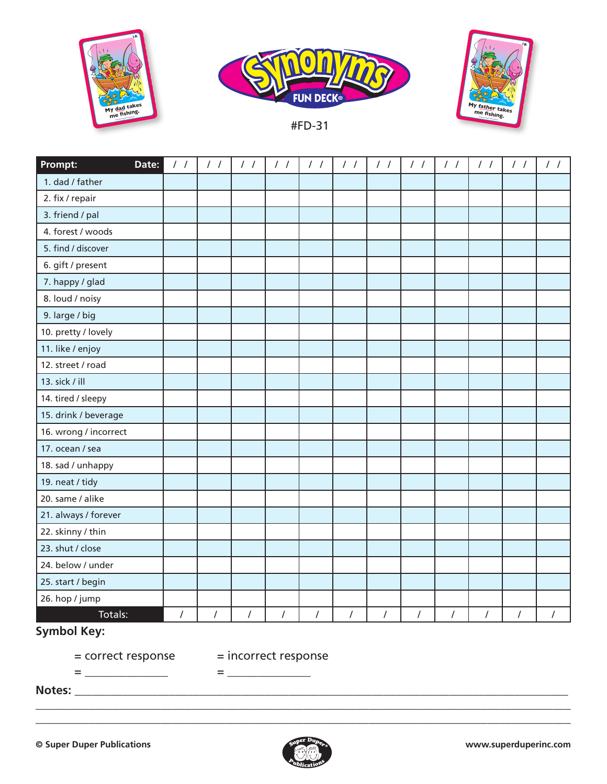



#FD-31



| Prompt:               | Date: | $\frac{1}{2}$  | $\frac{1}{2}$ | $\frac{1}{2}$ | $\frac{1}{2}$  | $\frac{1}{2}$  | $\frac{1}{2}$  | $\frac{1}{2}$ | $\frac{1}{2}$  | $\frac{1}{2}$  | $\frac{1}{2}$  | $\frac{1}{2}$        | $\frac{1}{2}$ |
|-----------------------|-------|----------------|---------------|---------------|----------------|----------------|----------------|---------------|----------------|----------------|----------------|----------------------|---------------|
| 1. dad / father       |       |                |               |               |                |                |                |               |                |                |                |                      |               |
| 2. fix / repair       |       |                |               |               |                |                |                |               |                |                |                |                      |               |
| 3. friend / pal       |       |                |               |               |                |                |                |               |                |                |                |                      |               |
| 4. forest / woods     |       |                |               |               |                |                |                |               |                |                |                |                      |               |
| 5. find / discover    |       |                |               |               |                |                |                |               |                |                |                |                      |               |
| 6. gift / present     |       |                |               |               |                |                |                |               |                |                |                |                      |               |
| 7. happy / glad       |       |                |               |               |                |                |                |               |                |                |                |                      |               |
| 8. loud / noisy       |       |                |               |               |                |                |                |               |                |                |                |                      |               |
| 9. large / big        |       |                |               |               |                |                |                |               |                |                |                |                      |               |
| 10. pretty / lovely   |       |                |               |               |                |                |                |               |                |                |                |                      |               |
| 11. like / enjoy      |       |                |               |               |                |                |                |               |                |                |                |                      |               |
| 12. street / road     |       |                |               |               |                |                |                |               |                |                |                |                      |               |
| 13. sick / ill        |       |                |               |               |                |                |                |               |                |                |                |                      |               |
| 14. tired / sleepy    |       |                |               |               |                |                |                |               |                |                |                |                      |               |
| 15. drink / beverage  |       |                |               |               |                |                |                |               |                |                |                |                      |               |
| 16. wrong / incorrect |       |                |               |               |                |                |                |               |                |                |                |                      |               |
| 17. ocean / sea       |       |                |               |               |                |                |                |               |                |                |                |                      |               |
| 18. sad / unhappy     |       |                |               |               |                |                |                |               |                |                |                |                      |               |
| 19. neat / tidy       |       |                |               |               |                |                |                |               |                |                |                |                      |               |
| 20. same / alike      |       |                |               |               |                |                |                |               |                |                |                |                      |               |
| 21. always / forever  |       |                |               |               |                |                |                |               |                |                |                |                      |               |
| 22. skinny / thin     |       |                |               |               |                |                |                |               |                |                |                |                      |               |
| 23. shut / close      |       |                |               |               |                |                |                |               |                |                |                |                      |               |
| 24. below / under     |       |                |               |               |                |                |                |               |                |                |                |                      |               |
| 25. start / begin     |       |                |               |               |                |                |                |               |                |                |                |                      |               |
| 26. hop / jump        |       |                |               |               |                |                |                |               |                |                |                |                      |               |
| Totals:               |       | $\overline{I}$ | $\prime$      | $\prime$      | $\overline{I}$ | $\overline{I}$ | $\overline{I}$ | $\sqrt{ }$    | $\overline{I}$ | $\overline{I}$ | $\overline{I}$ | $\sqrt{\phantom{a}}$ | $\prime$      |

## **Symbol Key:**

= \_\_\_\_\_\_\_\_\_\_\_\_\_\_ = \_\_\_\_\_\_\_\_\_\_\_\_\_\_

= correct response = incorrect response

**Notes:** \_\_\_\_\_\_\_\_\_\_\_\_\_\_\_\_\_\_\_\_\_\_\_\_\_\_\_\_\_\_\_\_\_\_\_\_\_\_\_\_\_\_\_\_\_\_\_\_\_\_\_\_\_\_\_\_\_\_\_\_\_\_\_\_\_\_\_\_\_\_\_\_\_\_\_\_\_\_\_\_\_\_\_



\_\_\_\_\_\_\_\_\_\_\_\_\_\_\_\_\_\_\_\_\_\_\_\_\_\_\_\_\_\_\_\_\_\_\_\_\_\_\_\_\_\_\_\_\_\_\_\_\_\_\_\_\_\_\_\_\_\_\_\_\_\_\_\_\_\_\_\_\_\_\_\_\_\_\_\_\_\_\_\_\_\_\_\_\_\_\_\_\_\_ \_\_\_\_\_\_\_\_\_\_\_\_\_\_\_\_\_\_\_\_\_\_\_\_\_\_\_\_\_\_\_\_\_\_\_\_\_\_\_\_\_\_\_\_\_\_\_\_\_\_\_\_\_\_\_\_\_\_\_\_\_\_\_\_\_\_\_\_\_\_\_\_\_\_\_\_\_\_\_\_\_\_\_\_\_\_\_\_\_\_